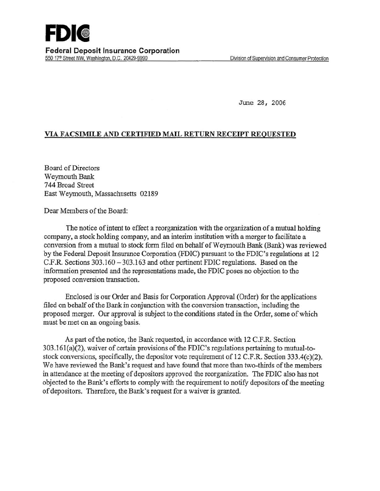June 28, 2006

# VIA FACSIMILE AND CERTIFIED MAIL RETURN RECEIPT REQUESTED

Board of Directors Weymouth Bank 744 Broad Street East Weymouth, Massachusetts 02189

Dear Members of the Board:

The notice of intent to effect a reorganization with the organization of a mutual holding company, a stock holding company, and an interim institution with a merger to facilitate a conversion from a mutual to stock form filed on behalf of Weymouth Bank (Bank) was reviewed by the Federal Deposit Insurance Corporation (FDIC) pursuant to the FDIC's regulations at 12 C.P.R. Sections 303.160 - 303.163 and other pertinent FDIC regulations. Based on the information presented and the representations made, the FDIC poses no objection to the proposed conversion transaction.

Enclosed is our Order and Basis for Corporation Approval (Order) for the applications filed on behalf of the Bank in conjunction with the conversion transaction, including the proposed merger. Our approval is subject to the conditions stated in the Order, some of which must be met on an ongoing basis.

As part of the notice, the Bank requested, in accordance with 12 C.F.R. Section 303.161(a)(2), waiver of certain provisions of the FDIC's regulations pertaining to mutual-tostock conversions, specifically, the depositor vote requirement of 12 C.P.R. Section 333.4(c)(2). We have reviewed the Bank's request and have found that more than two-thirds of the members in attendance at the meeting of depositors approved the reorganization. The FDIC also has not objected to the Bank's efforts to comply with the requirement to notify depositors of the meeting of depositors. Therefore, the Bank's request for a waiver is granted.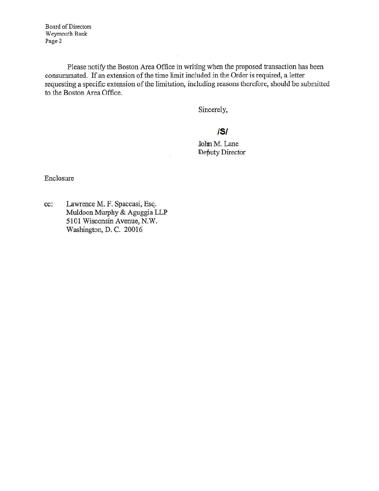Board of Directors Weymouth Bank Page 2

Please notify the Boston Area Office in writing when the proposed transaction has been consummated. If an extension of the time limit included in the Order is required, a letter requesting a specific extension of the limitation, including reasons therefore, should be submitted to the Boston Area Office.

Sincerely,

# IS/

John M. Lane **Deputy Director** 

Enclosure

cc: Lawrence M. F. Spaccasi, Esq. Muldoon Mirrphy & Aguggia LLP 5101 Wisconsin Avenue, N.W. Washington, D. C. 20016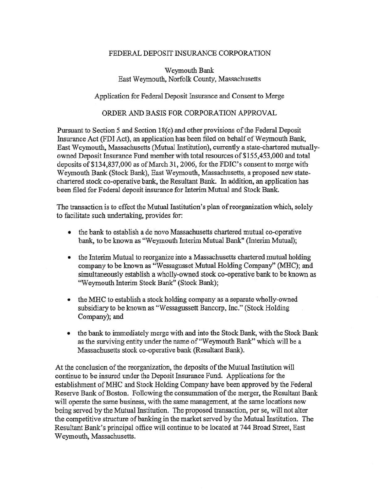## FEDERAL DEPOSIT INSURANCE CORPORATION

Weymouth Bank East Weymouth, Norfolk County, Massachusetts

#### Application for Federal Deposit Insurance and Consent to Merge

### ORDER AND BASIS FOR CORPORATION APPROVAL

Pursuant to Section 5 and Section 18(c) and other provisions of the Federal Deposit Insurance Act (FDI Act), an application has been filed on behalf of Weymouth Bank, East Weymouth, Massachusetts (Mutual Institution), currently a state-chartered mutuallyowned Deposit Insurance Fund member with total resources of \$155,453,000 and total deposits of \$134,837,000 as of March 31, 2006, for the FDIC's consent to merge with Weymouth Bank (Stock Bank), East Weymouth, Massachusetts, a proposed new statechartered stock co-operative bank, the Resultant Bank. In addition, an application has been filed for Federal deposit insurance for Interim Mutual and Stock Bank.

The transaction is to effect the Mutual Institution's plan of reorganization which, solely to facilitate such undertaking, provides for:

- the bank to establish a de novo Massachusetts chartered mutual co-operative bank, to be known as ''Weymouth Interim Mutual Bank" (Interim Mutual);
- the Interim Mutual to reorganize into a Massachusetts chartered mutual holding company to be known as "Wessagusset Mutual Holding Company'' (MHC); and simultaneously establish a wholly-owned stock co-operative bank to be known as "Weymouth Interim Stock Bank" (Stock Bank);
- the MHC to establish a stock holding company as a separate wholly-owned subsidiary to be known as "Wessagussett Bancorp, Inc." (Stock Holding Company); and
- the bank to immediately merge with and into the Stock Bank, with the Stock Bank as the surviving entity under the name of "Weymouth Bank" which will be a Massachusetts stock co-operative bank (Resultant Bank).

At the conclusion of the reorganization, the deposits of the Mutual Institution will continue to be insured under the Deposit Insurance Fund. Applications for the establishment ofMHC and Stock Holding Company have been approved by the Federal Reserve Bank of Boston. Following the consummation of the merger, the Resultant Bank will operate the same business, with the same management, at the same locations now being served by the Mutual Institution. The proposed transaction, per se, will not alter the competitive structure of banking in the market served by the Mutual Institution. The Resultant Bank's principal office will continue to be located at 744 Broad Street, East Weymouth, Massachusetts.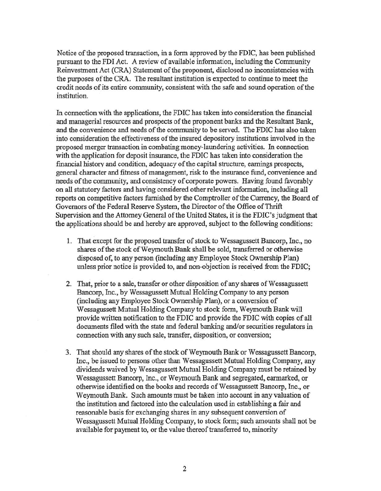Notice of the proposed transaction, in a form approved by the FDIC, has been published pursuant to the FDI Act. A review of available information, including the Community Reinvestment Act (CRA) Statement of the proponent, disclosed no inconsistencies with the purposes of the CRA. The resultant institution is expected to continue to meet the credit needs of its entire community, consistent with the safe and sound operation of the institution.

In connection with the applications, the FDIC has taken into consideration the financial and managerial resources and prospects of the proponent banks and the Resultant Bank, and the convenience and needs of the community to be served. The FDIC bas also taken into consideration the effectiveness of the insured depository institutions involved in the proposed merger transaction in combating money-laundering activities. In connection with the application for deposit insurance, the FDIC has taken into consideration the financial history and condition, adequacy of the capital structure, earnings prospects, general character and fitness of management, risk to the insurance fund, convenience and needs of the community, and consistency of corporate powers. Having found favorably on all statutory factors and having considered other relevant information, including all reports on competitive factors furnished by the Comptroller of the Currency, the Board of Governors of the Federal Reserve System, the Director of the Office of Thrift Supervision and the Attorney General of the United States, it is the FDIC's judgment that the applications should be and hereby are approved, subject to the following conditions:

- 1. That except for the proposed transfer of stock to Wessagussett Bancorp, Inc., no shares of the stock of Weymouth Bank shall be sold, transferred or otherwise disposed of, to any person (including any Employee Stock Ownership Plan) unless prior notice is provided to, and non-objection is receiyed from the FDIC;
- 2. That, prior to a sale, transfer or other disposition of any shares of Wessagussett Bancorp, Inc., by Wessagussett Mutual Holding Company to any person (including any Employee Stock Ownership Plan), or a conversion of W essagussett Mutual Holding Company to stock form, Weymouth Bank will provide written notification to the FDIC and provide the FDIC with copies of all documents filed with the state and federal banking and/or securities regulators in connection with any such sale, transfer, disposition, or conversion;
- 3. That should any shares of the stock of Weymouth Bank or Wessagussett Bancorp, Inc., be issued to persons other than Wessagussett Mutual Holding Company, any dividends waived by Wessagussett Mutual Holding Company must be retained by Wessagussett Bancorp, Inc., or Weymouth Bank and segregated, earmarked, or otherwise identified on the books and records of Wessagussett Bancorp, Inc., or Weymouth Bank. Such amounts must be taken into account in any valuation of the institution and factored into the calculation used in establishing a fair and reasonable basis for exchanging shares in any subsequent conversion of Wessagussett Mutual Holding Company, to stock form; such amounts shall not be available for payment to, or the value thereof transferred to, minority